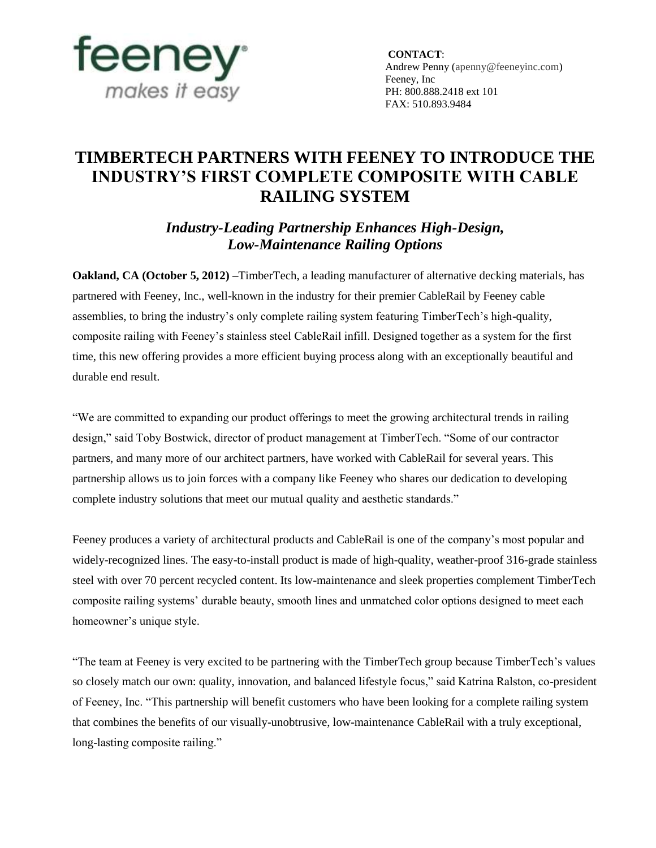

 **CONTACT**: Andrew Penny (apenny@feeneyinc.com) Feeney, Inc PH: 800.888.2418 ext 101 FAX: 510.893.9484

## **TIMBERTECH PARTNERS WITH FEENEY TO INTRODUCE THE INDUSTRY'S FIRST COMPLETE COMPOSITE WITH CABLE RAILING SYSTEM**

*Industry-Leading Partnership Enhances High-Design, Low-Maintenance Railing Options*

**Oakland, CA (October 5, 2012)** –TimberTech, a leading manufacturer of alternative decking materials, has partnered with Feeney, Inc., well-known in the industry for their premier CableRail by Feeney cable assemblies, to bring the industry's only complete railing system featuring TimberTech's high-quality, composite railing with Feeney's stainless steel CableRail infill. Designed together as a system for the first time, this new offering provides a more efficient buying process along with an exceptionally beautiful and durable end result.

"We are committed to expanding our product offerings to meet the growing architectural trends in railing design," said Toby Bostwick, director of product management at TimberTech. "Some of our contractor partners, and many more of our architect partners, have worked with CableRail for several years. This partnership allows us to join forces with a company like Feeney who shares our dedication to developing complete industry solutions that meet our mutual quality and aesthetic standards."

Feeney produces a variety of architectural products and CableRail is one of the company's most popular and widely-recognized lines. The easy-to-install product is made of high-quality, weather-proof 316-grade stainless steel with over 70 percent recycled content. Its low-maintenance and sleek properties complement TimberTech composite railing systems' durable beauty, smooth lines and unmatched color options designed to meet each homeowner's unique style.

"The team at Feeney is very excited to be partnering with the TimberTech group because TimberTech's values so closely match our own: quality, innovation, and balanced lifestyle focus," said Katrina Ralston, co-president of Feeney, Inc. "This partnership will benefit customers who have been looking for a complete railing system that combines the benefits of our visually-unobtrusive, low-maintenance CableRail with a truly exceptional, long-lasting composite railing."